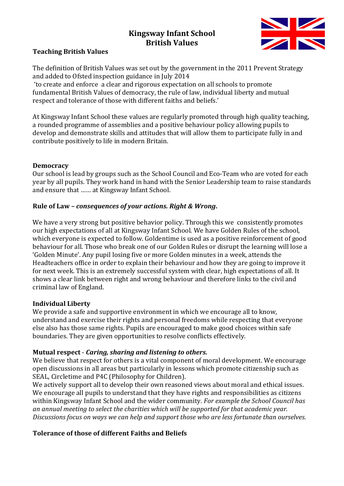# **Kingsway Infant School British Values**



### **Teaching British Values**

The definition of British Values was set out by the government in the 2011 Prevent Strategy and added to Ofsted inspection guidance in July 2014

'to create and enforce a clear and rigorous expectation on all schools to promote fundamental British Values of democracy, the rule of law, individual liberty and mutual respect and tolerance of those with different faiths and beliefs.'

At Kingsway Infant School these values are regularly promoted through high quality teaching, a rounded programme of assemblies and a positive behaviour policy allowing pupils to develop and demonstrate skills and attitudes that will allow them to participate fully in and contribute positively to life in modern Britain.

### **Democracy**

Our school is lead by groups such as the School Council and Eco-Team who are voted for each year by all pupils. They work hand in hand with the Senior Leadership team to raise standards and ensure that …… at Kingsway Infant School.

### **Rule of Law –** *consequences of your actions. Right & Wrong***.**

We have a very strong but positive behavior policy. Through this we consistently promotes our high expectations of all at Kingsway Infant School. We have Golden Rules of the school, which everyone is expected to follow. Goldentime is used as a positive reinforcement of good behaviour for all. Those who break one of our Golden Rules or disrupt the learning will lose a 'Golden Minute'. Any pupil losing five or more Golden minutes in a week, attends the Headteachers office in order to explain their behaviour and how they are going to improve it for next week. This is an extremely successful system with clear, high expectations of all. It shows a clear link between right and wrong behaviour and therefore links to the civil and criminal law of England.

### **Individual Liberty**

We provide a safe and supportive environment in which we encourage all to know, understand and exercise their rights and personal freedoms while respecting that everyone else also has those same rights. Pupils are encouraged to make good choices within safe boundaries. They are given opportunities to resolve conflicts effectively.

### **Mutual respect** - *Caring, sharing and listening to others.*

We believe that respect for others is a vital component of moral development. We encourage open discussions in all areas but particularly in lessons which promote citizenship such as SEAL, Circletime and P4C (Philosophy for Children).

We actively support all to develop their own reasoned views about moral and ethical issues. We encourage all pupils to understand that they have rights and responsibilities as citizens within Kingsway Infant School and the wider community. *For example the School Council has an annual meeting to select the charities which will be supported for that academic year. Discussions focus on ways we can help and support those who are less fortunate than ourselves.*

## **Tolerance of those of different Faiths and Beliefs**